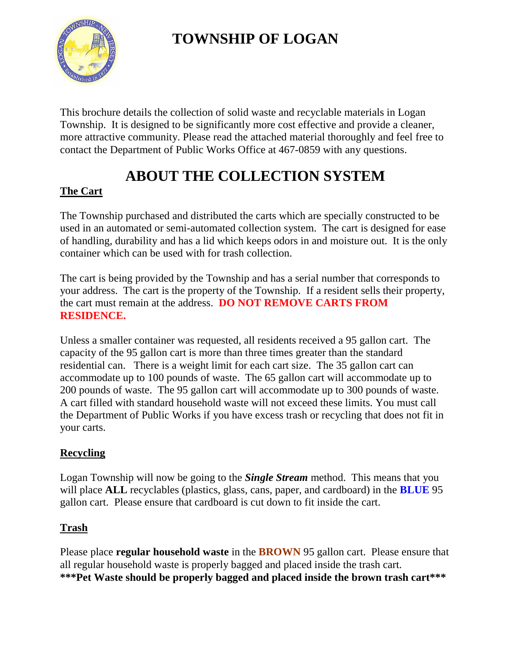# **TOWNSHIP OF LOGAN**



This brochure details the collection of solid waste and recyclable materials in Logan Township. It is designed to be significantly more cost effective and provide a cleaner, more attractive community. Please read the attached material thoroughly and feel free to contact the Department of Public Works Office at 467-0859 with any questions.

# **ABOUT THE COLLECTION SYSTEM**

### **The Cart**

The Township purchased and distributed the carts which are specially constructed to be used in an automated or semi-automated collection system. The cart is designed for ease of handling, durability and has a lid which keeps odors in and moisture out. It is the only container which can be used with for trash collection.

The cart is being provided by the Township and has a serial number that corresponds to your address. The cart is the property of the Township. If a resident sells their property, the cart must remain at the address. **DO NOT REMOVE CARTS FROM RESIDENCE.**

Unless a smaller container was requested, all residents received a 95 gallon cart. The capacity of the 95 gallon cart is more than three times greater than the standard residential can. There is a weight limit for each cart size. The 35 gallon cart can accommodate up to 100 pounds of waste. The 65 gallon cart will accommodate up to 200 pounds of waste. The 95 gallon cart will accommodate up to 300 pounds of waste. A cart filled with standard household waste will not exceed these limits. You must call the Department of Public Works if you have excess trash or recycling that does not fit in your carts.

### **Recycling**

Logan Township will now be going to the *Single Stream* method. This means that you will place **ALL** recyclables (plastics, glass, cans, paper, and cardboard) in the **BLUE** 95 gallon cart. Please ensure that cardboard is cut down to fit inside the cart.

#### **Trash**

Please place **regular household waste** in the **BROWN** 95 gallon cart. Please ensure that all regular household waste is properly bagged and placed inside the trash cart. **\*\*\*Pet Waste should be properly bagged and placed inside the brown trash cart\*\*\***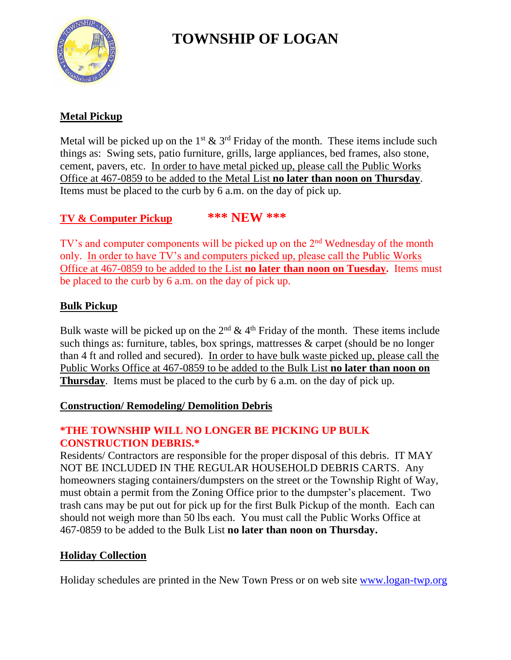

# **TOWNSHIP OF LOGAN**

### **Metal Pickup**

Metal will be picked up on the  $1^{st}$  &  $3^{rd}$  Friday of the month. These items include such things as: Swing sets, patio furniture, grills, large appliances, bed frames, also stone, cement, pavers, etc. In order to have metal picked up, please call the Public Works Office at 467-0859 to be added to the Metal List **no later than noon on Thursday**. Items must be placed to the curb by 6 a.m. on the day of pick up.

#### **TV & Computer Pickup \*\*\* NEW \*\*\***

TV's and computer components will be picked up on the 2<sup>nd</sup> Wednesday of the month only. In order to have TV's and computers picked up, please call the Public Works Office at 467-0859 to be added to the List **no later than noon on Tuesday.** Items must be placed to the curb by 6 a.m. on the day of pick up.

#### **Bulk Pickup**

Bulk waste will be picked up on the  $2<sup>nd</sup>$  & 4<sup>th</sup> Friday of the month. These items include such things as: furniture, tables, box springs, mattresses & carpet (should be no longer than 4 ft and rolled and secured). In order to have bulk waste picked up, please call the Public Works Office at 467-0859 to be added to the Bulk List **no later than noon on Thursday**. Items must be placed to the curb by 6 a.m. on the day of pick up.

#### **Construction/ Remodeling/ Demolition Debris**

#### **\*THE TOWNSHIP WILL NO LONGER BE PICKING UP BULK CONSTRUCTION DEBRIS.\***

Residents/ Contractors are responsible for the proper disposal of this debris. IT MAY NOT BE INCLUDED IN THE REGULAR HOUSEHOLD DEBRIS CARTS. Any homeowners staging containers/dumpsters on the street or the Township Right of Way, must obtain a permit from the Zoning Office prior to the dumpster's placement. Two trash cans may be put out for pick up for the first Bulk Pickup of the month. Each can should not weigh more than 50 lbs each. You must call the Public Works Office at 467-0859 to be added to the Bulk List **no later than noon on Thursday.**

#### **Holiday Collection**

Holiday schedules are printed in the New Town Press or on web site [www.logan-twp.org](http://www.logan-twp.org/)